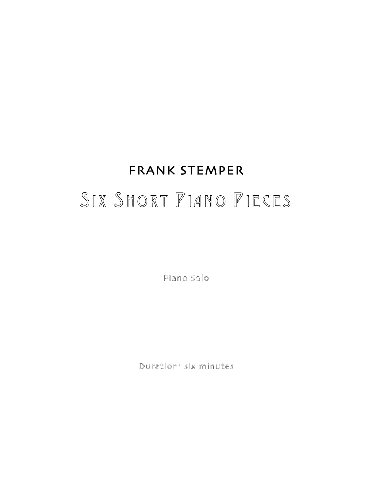## FRANK STEMPER SIX SHORT PIANO PIECES

Piano Solo

Duration: six minutes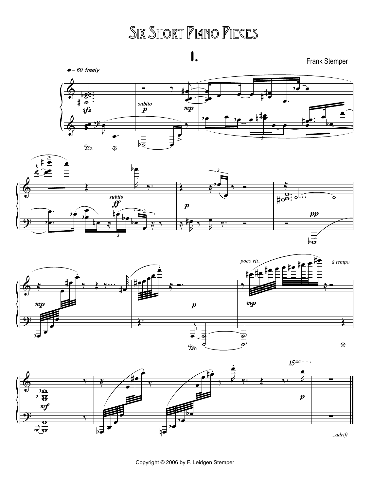## SIX SHORT PIANO PIECES





 $b\overline{\overline{b}}$ 

*3*



Copyright © 2006 by F. Leidgen Stemper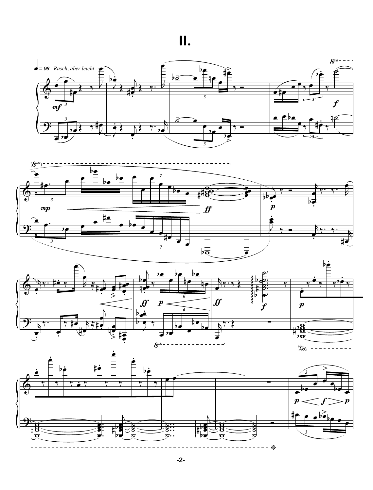**II.**

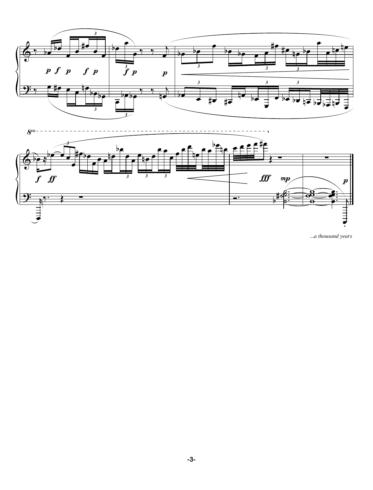

*<sup>...</sup>a thousand years*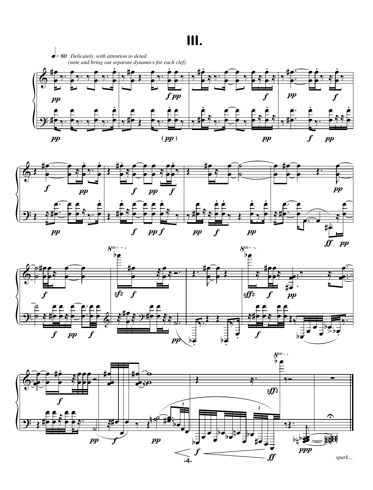## **III.**







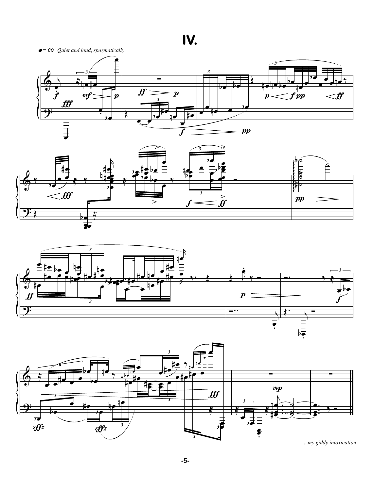**IV.**

 $\bullet$  = 60 Quiet and loud, spazmatically









*...my giddy intoxication*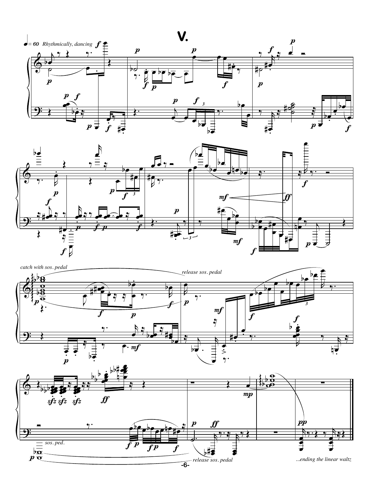